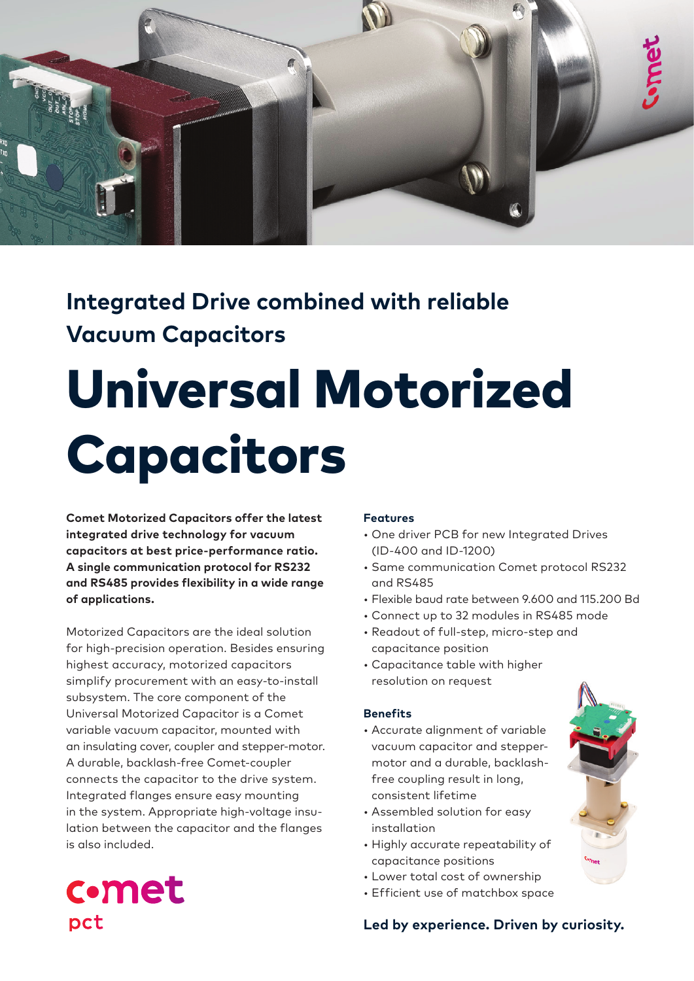

## **Integrated Drive combined with reliable Vacuum Capacitors**

# Universal Motorized Capacitors

**Comet Motorized Capacitors offer the latest integrated drive technology for vacuum capacitors at best price-performance ratio. A single communication protocol for RS232 and RS485 provides flexibility in a wide range of applications.**

Motorized Capacitors are the ideal solution for high-precision operation. Besides ensuring highest accuracy, motorized capacitors simplify procurement with an easy-to-install subsystem. The core component of the Universal Motorized Capacitor is a Comet variable vacuum capacitor, mounted with an insulating cover, coupler and stepper-motor. A durable, backlash-free Comet-coupler connects the capacitor to the drive system. Integrated flanges ensure easy mounting in the system. Appropriate high-voltage insulation between the capacitor and the flanges is also included.

#### **Features**

- One driver PCB for new Integrated Drives (ID-400 and ID-1200)
- Same communication Comet protocol RS232 and RS485
- Flexible baud rate between 9.600 and 115.200 Bd
- Connect up to 32 modules in RS485 mode
- Readout of full-step, micro-step and capacitance position
- Capacitance table with higher resolution on request

#### **Benefits**

- Accurate alignment of variable vacuum capacitor and steppermotor and a durable, backlashfree coupling result in long, consistent lifetime
- Assembled solution for easy installation
- Highly accurate repeatability of capacitance positions
- Lower total cost of ownership
- Efficient use of matchbox space



#### **Led by experience. Driven by curiosity.**

## **c**•met pct